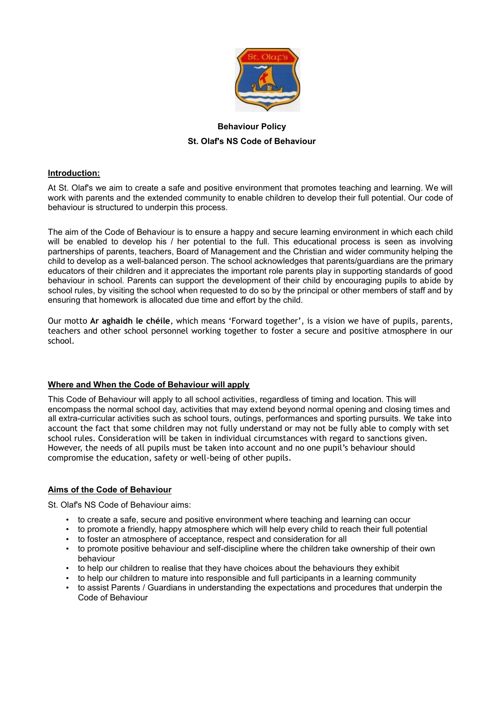

# **Behaviour Policy St. Olaf's NS Code of Behaviour**

# **Introduction:**

At St. Olaf's we aim to create a safe and positive environment that promotes teaching and learning. We will work with parents and the extended community to enable children to develop their full potential. Our code of behaviour is structured to underpin this process.

The aim of the Code of Behaviour is to ensure a happy and secure learning environment in which each child will be enabled to develop his / her potential to the full. This educational process is seen as involving partnerships of parents, teachers, Board of Management and the Christian and wider community helping the child to develop as a well-balanced person. The school acknowledges that parents/guardians are the primary educators of their children and it appreciates the important role parents play in supporting standards of good behaviour in school. Parents can support the development of their child by encouraging pupils to abide by school rules, by visiting the school when requested to do so by the principal or other members of staff and by ensuring that homework is allocated due time and effort by the child.

Our motto **Ar aghaidh le chéile**, which means 'Forward together', is a vision we have of pupils, parents, teachers and other school personnel working together to foster a secure and positive atmosphere in our school.

# **Where and When the Code of Behaviour will apply**

This Code of Behaviour will apply to all school activities, regardless of timing and location. This will encompass the normal school day, activities that may extend beyond normal opening and closing times and all extra-curricular activities such as school tours, outings, performances and sporting pursuits. We take into account the fact that some children may not fully understand or may not be fully able to comply with set school rules. Consideration will be taken in individual circumstances with regard to sanctions given. However, the needs of all pupils must be taken into account and no one pupil's behaviour should compromise the education, safety or well-being of other pupils.

# **Aims of the Code of Behaviour**

St. Olaf's NS Code of Behaviour aims:

- to create a safe, secure and positive environment where teaching and learning can occur
- to promote a friendly, happy atmosphere which will help every child to reach their full potential
- to foster an atmosphere of acceptance, respect and consideration for all
- to promote positive behaviour and self-discipline where the children take ownership of their own behaviour
- to help our children to realise that they have choices about the behaviours they exhibit
- to help our children to mature into responsible and full participants in a learning community
- to assist Parents / Guardians in understanding the expectations and procedures that underpin the Code of Behaviour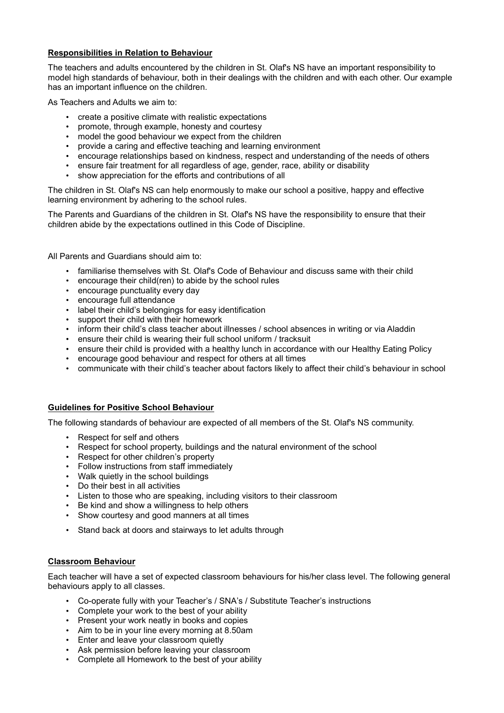## **Responsibilities in Relation to Behaviour**

The teachers and adults encountered by the children in St. Olaf's NS have an important responsibility to model high standards of behaviour, both in their dealings with the children and with each other. Our example has an important influence on the children.

As Teachers and Adults we aim to:

- create a positive climate with realistic expectations
- promote, through example, honesty and courtesy
- model the good behaviour we expect from the children
- provide a caring and effective teaching and learning environment
- encourage relationships based on kindness, respect and understanding of the needs of others
- ensure fair treatment for all regardless of age, gender, race, ability or disability
- show appreciation for the efforts and contributions of all

The children in St. Olaf's NS can help enormously to make our school a positive, happy and effective learning environment by adhering to the school rules.

The Parents and Guardians of the children in St. Olaf's NS have the responsibility to ensure that their children abide by the expectations outlined in this Code of Discipline.

All Parents and Guardians should aim to:

- familiarise themselves with St. Olaf's Code of Behaviour and discuss same with their child
- encourage their child(ren) to abide by the school rules
- encourage punctuality every day
- encourage full attendance
- label their child's belongings for easy identification
- support their child with their homework
- inform their child's class teacher about illnesses / school absences in writing or via Aladdin
- ensure their child is wearing their full school uniform / tracksuit
- ensure their child is provided with a healthy lunch in accordance with our Healthy Eating Policy
- encourage good behaviour and respect for others at all times
- communicate with their child's teacher about factors likely to affect their child's behaviour in school

# **Guidelines for Positive School Behaviour**

The following standards of behaviour are expected of all members of the St. Olaf's NS community.

- Respect for self and others
- Respect for school property, buildings and the natural environment of the school
- Respect for other children's property
- Follow instructions from staff immediately
- Walk quietly in the school buildings
- Do their best in all activities
- Listen to those who are speaking, including visitors to their classroom
- Be kind and show a willingness to help others
- Show courtesy and good manners at all times
- Stand back at doors and stairways to let adults through

# **Classroom Behaviour**

Each teacher will have a set of expected classroom behaviours for his/her class level. The following general behaviours apply to all classes.

- Co-operate fully with your Teacher's / SNA's / Substitute Teacher's instructions
- Complete your work to the best of your ability
- Present your work neatly in books and copies
- Aim to be in your line every morning at 8.50am
- Enter and leave your classroom quietly
- Ask permission before leaving your classroom
- Complete all Homework to the best of your ability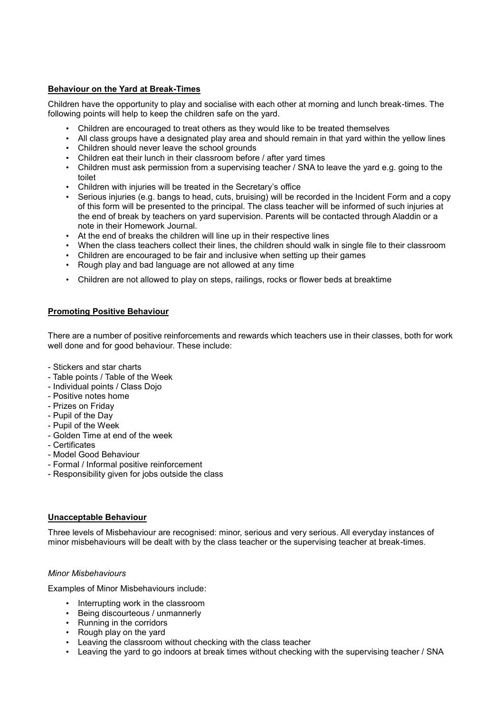# **Behaviour on the Yard at Break-Times**

Children have the opportunity to play and socialise with each other at morning and lunch break-times. The following points will help to keep the children safe on the yard.

- Children are encouraged to treat others as they would like to be treated themselves
- All class groups have a designated play area and should remain in that yard within the yellow lines
- Children should never leave the school grounds
- Children eat their lunch in their classroom before / after yard times
- Children must ask permission from a supervising teacher / SNA to leave the yard e.g. going to the toilet
- Children with injuries will be treated in the Secretary's office
- Serious injuries (e.g. bangs to head, cuts, bruising) will be recorded in the Incident Form and a copy of this form will be presented to the principal. The class teacher will be informed of such injuries at the end of break by teachers on yard supervision. Parents will be contacted through Aladdin or a note in their Homework Journal.
- At the end of breaks the children will line up in their respective lines
- When the class teachers collect their lines, the children should walk in single file to their classroom
- Children are encouraged to be fair and inclusive when setting up their games
- Rough play and bad language are not allowed at any time
- Children are not allowed to play on steps, railings, rocks or flower beds at breaktime

## **Promoting Positive Behaviour**

There are a number of positive reinforcements and rewards which teachers use in their classes, both for work well done and for good behaviour. These include:

- Stickers and star charts
- Table points / Table of the Week
- Individual points / Class Dojo
- Positive notes home
- Prizes on Friday
- Pupil of the Day
- Pupil of the Week
- Golden Time at end of the week
- Certificates
- Model Good Behaviour
- Formal / Informal positive reinforcement
- Responsibility given for jobs outside the class

#### **Unacceptable Behaviour**

Three levels of Misbehaviour are recognised: minor, serious and very serious. All everyday instances of minor misbehaviours will be dealt with by the class teacher or the supervising teacher at break-times.

#### *Minor Misbehaviours*

Examples of Minor Misbehaviours include:

- Interrupting work in the classroom
- Being discourteous / unmannerly
- Running in the corridors
- Rough play on the yard
- Leaving the classroom without checking with the class teacher
- Leaving the yard to go indoors at break times without checking with the supervising teacher / SNA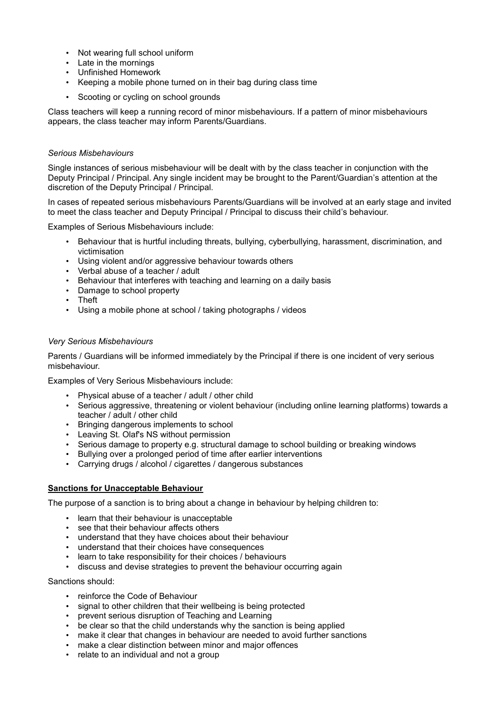- Not wearing full school uniform
- Late in the mornings
- Unfinished Homework
- Keeping a mobile phone turned on in their bag during class time
- Scooting or cycling on school grounds

Class teachers will keep a running record of minor misbehaviours. If a pattern of minor misbehaviours appears, the class teacher may inform Parents/Guardians.

## *Serious Misbehaviours*

Single instances of serious misbehaviour will be dealt with by the class teacher in conjunction with the Deputy Principal / Principal. Any single incident may be brought to the Parent/Guardian's attention at the discretion of the Deputy Principal / Principal.

In cases of repeated serious misbehaviours Parents/Guardians will be involved at an early stage and invited to meet the class teacher and Deputy Principal / Principal to discuss their child's behaviour.

Examples of Serious Misbehaviours include:

- Behaviour that is hurtful including threats, bullying, cyberbullying, harassment, discrimination, and victimisation
- Using violent and/or aggressive behaviour towards others
- Verbal abuse of a teacher / adult
- Behaviour that interferes with teaching and learning on a daily basis
- Damage to school property
- Theft
- Using a mobile phone at school / taking photographs / videos

#### *Very Serious Misbehaviours*

Parents / Guardians will be informed immediately by the Principal if there is one incident of very serious misbehaviour.

Examples of Very Serious Misbehaviours include:

- Physical abuse of a teacher / adult / other child
- Serious aggressive, threatening or violent behaviour (including online learning platforms) towards a teacher / adult / other child
- Bringing dangerous implements to school
- Leaving St. Olaf's NS without permission
- Serious damage to property e.g. structural damage to school building or breaking windows
- Bullying over a prolonged period of time after earlier interventions
- Carrying drugs / alcohol / cigarettes / dangerous substances

# **Sanctions for Unacceptable Behaviour**

The purpose of a sanction is to bring about a change in behaviour by helping children to:

- learn that their behaviour is unacceptable
- see that their behaviour affects others
- understand that they have choices about their behaviour
- understand that their choices have consequences
- learn to take responsibility for their choices / behaviours
- discuss and devise strategies to prevent the behaviour occurring again

Sanctions should:

- reinforce the Code of Behaviour
- signal to other children that their wellbeing is being protected
- prevent serious disruption of Teaching and Learning
- be clear so that the child understands why the sanction is being applied
- make it clear that changes in behaviour are needed to avoid further sanctions
- make a clear distinction between minor and major offences
- relate to an individual and not a group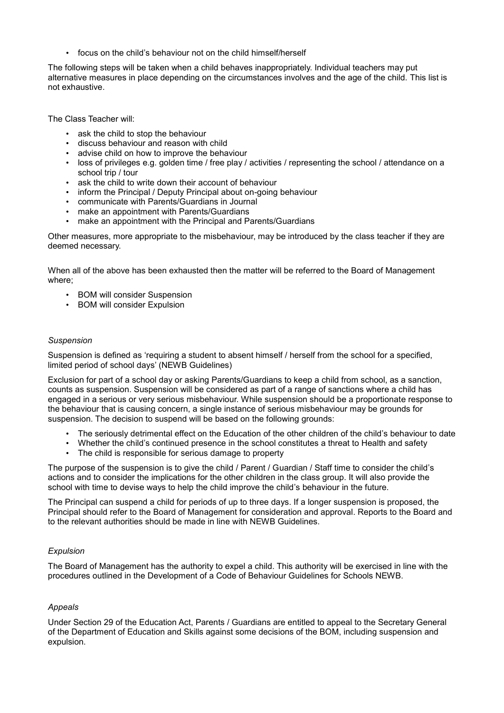• focus on the child's behaviour not on the child himself/herself

The following steps will be taken when a child behaves inappropriately. Individual teachers may put alternative measures in place depending on the circumstances involves and the age of the child. This list is not exhaustive.

The Class Teacher will:

- ask the child to stop the behaviour
- discuss behaviour and reason with child
- advise child on how to improve the behaviour
- loss of privileges e.g. golden time / free play / activities / representing the school / attendance on a school trip / tour
- ask the child to write down their account of behaviour
- inform the Principal / Deputy Principal about on-going behaviour
- communicate with Parents/Guardians in Journal
- make an appointment with Parents/Guardians
- make an appointment with the Principal and Parents/Guardians

Other measures, more appropriate to the misbehaviour, may be introduced by the class teacher if they are deemed necessary.

When all of the above has been exhausted then the matter will be referred to the Board of Management where;

- BOM will consider Suspension
- BOM will consider Expulsion

## *Suspension*

Suspension is defined as 'requiring a student to absent himself / herself from the school for a specified, limited period of school days' (NEWB Guidelines)

Exclusion for part of a school day or asking Parents/Guardians to keep a child from school, as a sanction, counts as suspension. Suspension will be considered as part of a range of sanctions where a child has engaged in a serious or very serious misbehaviour. While suspension should be a proportionate response to the behaviour that is causing concern, a single instance of serious misbehaviour may be grounds for suspension. The decision to suspend will be based on the following grounds:

- The seriously detrimental effect on the Education of the other children of the child's behaviour to date
- Whether the child's continued presence in the school constitutes a threat to Health and safety
- The child is responsible for serious damage to property

The purpose of the suspension is to give the child / Parent / Guardian / Staff time to consider the child's actions and to consider the implications for the other children in the class group. It will also provide the school with time to devise ways to help the child improve the child's behaviour in the future.

The Principal can suspend a child for periods of up to three days. If a longer suspension is proposed, the Principal should refer to the Board of Management for consideration and approval. Reports to the Board and to the relevant authorities should be made in line with NEWB Guidelines.

# *Expulsion*

The Board of Management has the authority to expel a child. This authority will be exercised in line with the procedures outlined in the Development of a Code of Behaviour Guidelines for Schools NEWB.

# *Appeals*

Under Section 29 of the Education Act, Parents / Guardians are entitled to appeal to the Secretary General of the Department of Education and Skills against some decisions of the BOM, including suspension and expulsion.